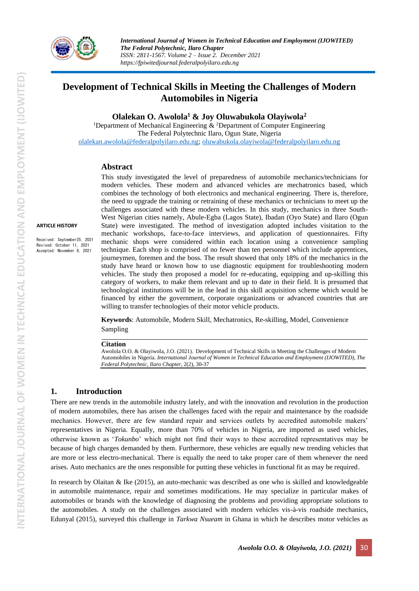

*International Journal of Women in Technical Education and Employment (IJOWITED) The Federal Polytechnic, Ilaro Chapter ISSN: 2811-1567. Volume 2 – Issue 2. December 2021 https://fpiwitedjournal.federalpolyilaro.edu.ng*

# **Development of Technical Skills in Meeting the Challenges of Modern Automobiles in Nigeria**

**Olalekan O. Awolola<sup>1</sup> & Joy Oluwabukola Olayiwola<sup>2</sup>**

<sup>1</sup>Department of Mechanical Engineering  $\&$  <sup>2</sup>Department of Computer Engineering The Federal Polytechnic Ilaro, Ogun State, Nigeria [olalekan.awolola@federalpolyilaro.edu.ng;](mailto:olalekan.awolola@federalpolyilaro.edu.ng) [oluwabukola.olayiwola@federalpolyilaro.edu.ng](mailto:oluwabukola.olayiwola@federalpolyilaro.edu.ng)

#### **Abstract**

**ARTICLE HISTORY** 

Received: September25, 2021 Revised: October 11, 2021 Accepted: November 8, 2021

This study investigated the level of preparedness of automobile mechanics/technicians for modern vehicles. These modern and advanced vehicles are mechatronics based, which combines the technology of both electronics and mechanical engineering. There is, therefore, the need to upgrade the training or retraining of these mechanics or technicians to meet up the challenges associated with these modern vehicles. In this study, mechanics in three South-West Nigerian cities namely, Abule-Egba (Lagos State), Ibadan (Oyo State) and Ilaro (Ogun State) were investigated. The method of investigation adopted includes visitation to the mechanic workshops, face-to-face interviews, and application of questionnaires. Fifty mechanic shops were considered within each location using a convenience sampling technique. Each shop is comprised of no fewer than ten personnel which include apprentices, journeymen, foremen and the boss. The result showed that only 18% of the mechanics in the study have heard or known how to use diagnostic equipment for troubleshooting modern vehicles. The study then proposed a model for re-educating, equipping and up-skilling this category of workers, to make them relevant and up to date in their field. It is presumed that technological institutions will be in the lead in this skill acquisition scheme which would be financed by either the government, corporate organizations or advanced countries that are willing to transfer technologies of their motor vehicle products.

**Keywords**: Automobile, Modern Skill, Mechatronics, Re-skilling, Model, Convenience Sampling

#### **Citation**

Awolola O.O. & Olayiwola, J.O. (2021). Development of Technical Skills in Meeting the Challenges of Modern Automobiles in Nigeria. *International Journal of Women in Technical Education and Employment (IJOWITED), The Federal Polytechnic, Ilaro Chapter*, 2(2), 30-37

#### **1. Introduction**

There are new trends in the automobile industry lately, and with the innovation and revolution in the production of modern automobiles, there has arisen the challenges faced with the repair and maintenance by the roadside mechanics. However, there are few standard repair and services outlets by accredited automobile makers' representatives in Nigeria. Equally, more than 70% of vehicles in Nigeria, are imported as used vehicles, otherwise known as '*Tokunbo*' which might not find their ways to these accredited representatives may be because of high charges demanded by them. Furthermore, these vehicles are equally new trending vehicles that are more or less electro-mechanical. There is equally the need to take proper care of them whenever the need arises. Auto mechanics are the ones responsible for putting these vehicles in functional fit as may be required.

In research by Olaitan & Ike (2015), an auto-mechanic was described as one who is skilled and knowledgeable in automobile maintenance, repair and sometimes modifications. He may specialize in particular makes of automobiles or brands with the knowledge of diagnosing the problems and providing appropriate solutions to the automobiles. A study on the challenges associated with modern vehicles vis-à-vis roadside mechanics, Edunyal (2015), surveyed this challenge in *Tarkwa Nsueam* in Ghana in which he describes motor vehicles as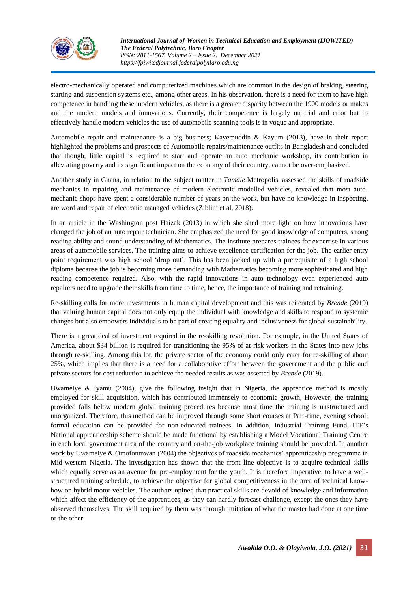

electro-mechanically operated and computerized machines which are common in the design of braking, steering starting and suspension systems etc., among other areas. In his observation, there is a need for them to have high competence in handling these modern vehicles, as there is a greater disparity between the 1900 models or makes and the modern models and innovations. Currently, their competence is largely on trial and error but to effectively handle modern vehicles the use of automobile scanning tools is in vogue and appropriate.

Automobile repair and maintenance is a big business; Kayemuddin & Kayum (2013), have in their report highlighted the problems and prospects of Automobile repairs/maintenance outfits in Bangladesh and concluded that though, little capital is required to start and operate an auto mechanic workshop, its contribution in alleviating poverty and its significant impact on the economy of their country, cannot be over-emphasized.

Another study in Ghana, in relation to the subject matter in *Tamale* Metropolis, assessed the skills of roadside mechanics in repairing and maintenance of modern electronic modelled vehicles, revealed that most automechanic shops have spent a considerable number of years on the work, but have no knowledge in inspecting, are word and repair of electronic managed vehicles (Ziblim et al, 2018).

In an article in the Washington post Haizak (2013) in which she shed more light on how innovations have changed the job of an auto repair technician. She emphasized the need for good knowledge of computers, strong reading ability and sound understanding of Mathematics. The institute prepares trainees for expertise in various areas of automobile services. The training aims to achieve excellence certification for the job. The earlier entry point requirement was high school 'drop out'. This has been jacked up with a prerequisite of a high school diploma because the job is becoming more demanding with Mathematics becoming more sophisticated and high reading competence required. Also, with the rapid innovations in auto technology even experienced auto repairers need to upgrade their skills from time to time, hence, the importance of training and retraining.

Re-skilling calls for more investments in human capital development and this was reiterated by *Brende* (2019) that valuing human capital does not only equip the individual with knowledge and skills to respond to systemic changes but also empowers individuals to be part of creating equality and inclusiveness for global sustainability.

There is a great deal of investment required in the re-skilling revolution. For example, in the United States of America, about \$34 billion is required for transitioning the 95% of at-risk workers in the States into new jobs through re-skilling. Among this lot, the private sector of the economy could only cater for re-skilling of about 25%, which implies that there is a need for a collaborative effort between the government and the public and private sectors for cost reduction to achieve the needed results as was asserted by *Brende* (2019).

Uwameiye & Iyamu (2004), give the following insight that in Nigeria, the apprentice method is mostly employed for skill acquisition, which has contributed immensely to economic growth, However, the training provided falls below modern global training procedures because most time the training is unstructured and unorganized. Therefore, this method can be improved through some short courses at Part-time, evening school; formal education can be provided for non-educated trainees. In addition, Industrial Training Fund, ITF's National apprenticeship scheme should be made functional by establishing a Model Vocational Training Centre in each local government area of the country and on-the-job workplace training should be provided. In another work by Uwameiye & Omofonmwan (2004) the objectives of roadside mechanics' apprenticeship programme in Mid-western Nigeria. The investigation has shown that the front line objective is to acquire technical skills which equally serve as an avenue for pre-employment for the youth. It is therefore imperative, to have a wellstructured training schedule, to achieve the objective for global competitiveness in the area of technical knowhow on hybrid motor vehicles. The authors opined that practical skills are devoid of knowledge and information which affect the efficiency of the apprentices, as they can hardly forecast challenge, except the ones they have observed themselves. The skill acquired by them was through imitation of what the master had done at one time or the other.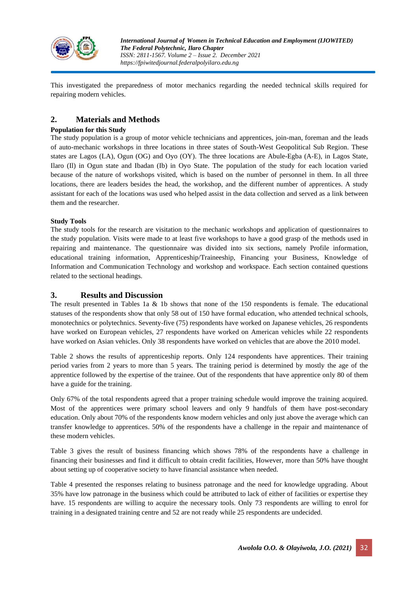

This investigated the preparedness of motor mechanics regarding the needed technical skills required for repairing modern vehicles.

## **2. Materials and Methods**

#### **Population for this Study**

The study population is a group of motor vehicle technicians and apprentices, join-man, foreman and the leads of auto-mechanic workshops in three locations in three states of South-West Geopolitical Sub Region. These states are Lagos (LA), Ogun (OG) and Oyo (OY). The three locations are Abule-Egba (A-E), in Lagos State, Ilaro (Il) in Ogun state and Ibadan (Ib) in Oyo State. The population of the study for each location varied because of the nature of workshops visited, which is based on the number of personnel in them. In all three locations, there are leaders besides the head, the workshop, and the different number of apprentices. A study assistant for each of the locations was used who helped assist in the data collection and served as a link between them and the researcher.

#### **Study Tools**

The study tools for the research are visitation to the mechanic workshops and application of questionnaires to the study population. Visits were made to at least five workshops to have a good grasp of the methods used in repairing and maintenance. The questionnaire was divided into six sections, namely Profile information, educational training information, Apprenticeship/Traineeship, Financing your Business, Knowledge of Information and Communication Technology and workshop and workspace. Each section contained questions related to the sectional headings.

#### **3. Results and Discussion**

The result presented in Tables 1a & 1b shows that none of the 150 respondents is female. The educational statuses of the respondents show that only 58 out of 150 have formal education, who attended technical schools, monotechnics or polytechnics. Seventy-five (75) respondents have worked on Japanese vehicles, 26 respondents have worked on European vehicles, 27 respondents have worked on American vehicles while 22 respondents have worked on Asian vehicles. Only 38 respondents have worked on vehicles that are above the 2010 model.

Table 2 shows the results of apprenticeship reports. Only 124 respondents have apprentices. Their training period varies from 2 years to more than 5 years. The training period is determined by mostly the age of the apprentice followed by the expertise of the trainee. Out of the respondents that have apprentice only 80 of them have a guide for the training.

Only 67% of the total respondents agreed that a proper training schedule would improve the training acquired. Most of the apprentices were primary school leavers and only 9 handfuls of them have post-secondary education. Only about 70% of the respondents know modern vehicles and only just above the average which can transfer knowledge to apprentices. 50% of the respondents have a challenge in the repair and maintenance of these modern vehicles.

Table 3 gives the result of business financing which shows 78% of the respondents have a challenge in financing their businesses and find it difficult to obtain credit facilities, However, more than 50% have thought about setting up of cooperative society to have financial assistance when needed.

Table 4 presented the responses relating to business patronage and the need for knowledge upgrading. About 35% have low patronage in the business which could be attributed to lack of either of facilities or expertise they have. 15 respondents are willing to acquire the necessary tools. Only 73 respondents are willing to enrol for training in a designated training centre and 52 are not ready while 25 respondents are undecided.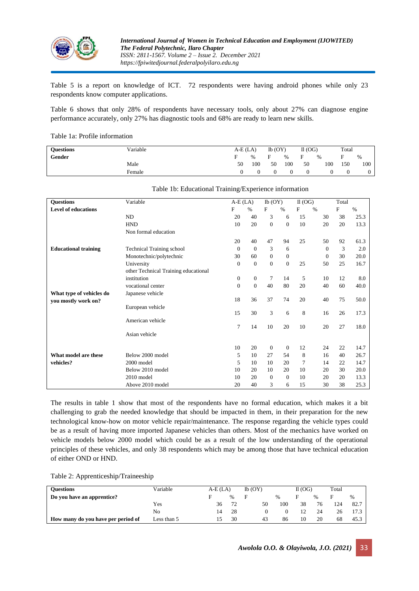

Table 5 is a report on knowledge of ICT. 72 respondents were having android phones while only 23 respondents know computer applications.

Table 6 shows that only 28% of respondents have necessary tools, only about 27% can diagnose engine performance accurately, only 27% has diagnostic tools and 68% are ready to learn new skills.

Table 1a: Profile information

| <b>Ouestions</b> | Variable |    | $A-E(LA)$     |    | $Ib$ (OY) |    | II(OG) | Total |      |
|------------------|----------|----|---------------|----|-----------|----|--------|-------|------|
| Gender           |          |    | $\frac{0}{6}$ |    | $\%$      | Е  | %      |       | $\%$ |
|                  | Male     | 50 | 100           | 50 | 100       | 50 | 100    | 150   | 100  |
|                  | Female   |    |               |    |           |    |        |       |      |

| <b>Questions</b>            | Variable                             | $A-E(LA)$        |                  | Ib(OY)       |              | $II$ (OG) |              | Total |      |
|-----------------------------|--------------------------------------|------------------|------------------|--------------|--------------|-----------|--------------|-------|------|
| <b>Level of educations</b>  |                                      | F                | $\%$             | F            | $\%$         | F         | $\%$         | F     | $\%$ |
|                             | ND                                   | 20               | 40               | 3            | 6            | 15        | 30           | 38    | 25.3 |
|                             | <b>HND</b>                           | 10               | 20               | $\mathbf{0}$ | $\mathbf{0}$ | 10        | 20           | 20    | 13.3 |
|                             | Non formal education                 |                  |                  |              |              |           |              |       |      |
|                             |                                      | 20               | 40               | 47           | 94           | 25        | 50           | 92    | 61.3 |
| <b>Educational training</b> | Technical Training school            | $\mathbf{0}$     | $\mathbf{0}$     | 3            | 6            |           | $\Omega$     | 3     | 2.0  |
|                             | Monotechnic/polytechnic              | 30               | 60               | $\mathbf{0}$ | $\mathbf{0}$ |           | $\mathbf{0}$ | 30    | 20.0 |
|                             | University                           | $\boldsymbol{0}$ | $\boldsymbol{0}$ | $\mathbf{0}$ | $\mathbf{0}$ | 25        | 50           | 25    | 16.7 |
|                             | other Technical Training educational |                  |                  |              |              |           |              |       |      |
|                             | institution                          | $\mathbf{0}$     | $\boldsymbol{0}$ | 7            | 14           | 5         | 10           | 12    | 8.0  |
|                             | vocational center                    | $\mathbf{0}$     | $\overline{0}$   | 40           | 80           | 20        | 40           | 60    | 40.0 |
| What type of vehicles do    | Japanese vehicle                     |                  |                  |              |              |           |              |       |      |
| you mostly work on?         |                                      | 18               | 36               | 37           | 74           | 20        | 40           | 75    | 50.0 |
|                             | European vehicle                     |                  |                  |              |              |           |              |       |      |
|                             |                                      | 15               | 30               | 3            | 6            | 8         | 16           | 26    | 17.3 |
|                             | American vehicle                     |                  |                  |              |              |           |              |       |      |
|                             |                                      | 7                | 14               | 10           | 20           | 10        | 20           | 27    | 18.0 |
|                             | Asian vehicle                        |                  |                  |              |              |           |              |       |      |
|                             |                                      | 10               | 20               | $\theta$     | $\mathbf{0}$ | 12        | 24           | 22    | 14.7 |
| What model are these        | Below 2000 model                     | 5                | 10               | 27           | 54           | 8         | 16           | 40    | 26.7 |
| vehicles?                   | $2000$ model                         | 5                | 10               | 10           | 20           | 7         | 14           | 22    | 14.7 |
|                             | Below 2010 model                     | 10               | 20               | 10           | 20           | 10        | 20           | 30    | 20.0 |
|                             | 2010 model                           | 10               | 20               | $\mathbf{0}$ | $\mathbf{0}$ | 10        | 20           | 20    | 13.3 |
|                             | Above 2010 model                     | 20               | 40               | 3            | 6            | 15        | 30           | 38    | 25.3 |

#### Table 1b: Educational Training/Experience information

The results in table 1 show that most of the respondents have no formal education, which makes it a bit challenging to grab the needed knowledge that should be impacted in them, in their preparation for the new technological know-how on motor vehicle repair/maintenance. The response regarding the vehicle types could be as a result of having more imported Japanese vehicles than others. Most of the mechanics have worked on vehicle models below 2000 model which could be as a result of the low understanding of the operational principles of these vehicles, and only 38 respondents which may be among those that have technical education of either OND or HND.

| <b>Ouestions</b>                   | Variable    | $A-E(LA)$ |      | $Ib$ (OY) | II(OG) |    |    | Total |      |
|------------------------------------|-------------|-----------|------|-----------|--------|----|----|-------|------|
| Do you have an apprentice?         |             |           | $\%$ |           | $\%$   |    |    | F     | $\%$ |
|                                    | Yes         | 36        | 72   | 50        | 100    | 38 | 76 | 124   | 82.7 |
|                                    | No          | 14        | 28   |           |        |    | 24 | 26    |      |
| How many do you have per period of | Less than 5 |           | 30   | 43        | 86     | 10 | 20 | 68    | 45.3 |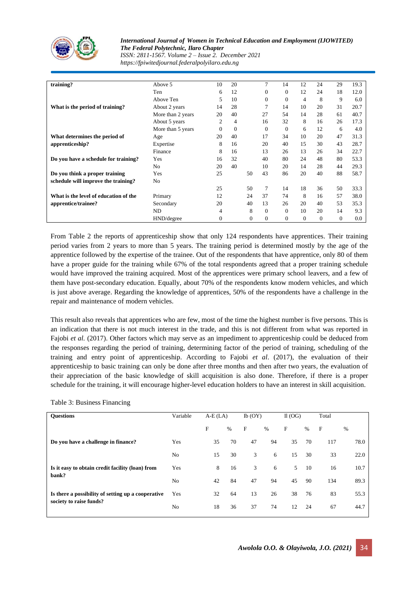

*International Journal of Women in Technical Education and Employment (IJOWITED) The Federal Polytechnic, Ilaro Chapter ISSN: 2811-1567. Volume 2 – Issue 2. December 2021 https://fpiwitedjournal.federalpolyilaro.edu.ng*

| training?                             | Above 5           | 10           | 20             |          | 7        | 14       | 12       | 24       | 29           | 19.3    |
|---------------------------------------|-------------------|--------------|----------------|----------|----------|----------|----------|----------|--------------|---------|
|                                       | Ten               | 6            | 12             |          | $\Omega$ | $\Omega$ | 12       | 24       | 18           | 12.0    |
|                                       | Above Ten         | 5            | 10             |          | $\Omega$ | $\Omega$ | 4        | 8        | 9            | 6.0     |
| What is the period of training?       | About 2 years     | 14           | 28             |          |          | 14       | 10       | 20       | 31           | 20.7    |
|                                       | More than 2 years | 20           | 40             |          | 27       | 54       | 14       | 28       | 61           | 40.7    |
|                                       | About 5 years     | 2            | $\overline{4}$ |          | 16       | 32       | 8        | 16       | 26           | 17.3    |
|                                       | More than 5 years | $\Omega$     | $\Omega$       |          | $\Omega$ | $\Omega$ | 6        | 12       | 6            | 4.0     |
| What determines the period of         | Age               | 20           | 40             |          | 17       | 34       | 10       | 20       | 47           | 31.3    |
| apprenticeship?                       | Expertise         | 8            | 16             |          | 20       | 40       | 15       | 30       | 43           | 28.7    |
|                                       | Finance           | 8            | 16             |          | 13       | 26       | 13       | 26       | 34           | 22.7    |
| Do you have a schedule for training?  | Yes               | 16           | 32             |          | 40       | 80       | 24       | 48       | 80           | 53.3    |
|                                       | No                | 20           | 40             |          | 10       | 20       | 14       | 28       | 44           | 29.3    |
| Do you think a proper training        | Yes               | 25           |                | 50       | 43       | 86       | 20       | 40       | 88           | 58.7    |
| schedule will improve the training?   | N <sub>0</sub>    |              |                |          |          |          |          |          |              |         |
|                                       |                   | 25           |                | 50       | 7        | 14       | 18       | 36       | 50           | 33.3    |
| What is the level of education of the | Primary           | 12           |                | 24       | 37       | 74       | 8        | 16       | 57           | 38.0    |
| apprentice/trainee?                   | Secondary         | 20           |                | 40       | 13       | 26       | 20       | 40       | 53           | 35.3    |
|                                       | ND.               | 4            |                | 8        | $\Omega$ | $\Omega$ | 10       | 20       | 14           | 9.3     |
|                                       | HND/degree        | $\mathbf{0}$ |                | $\Omega$ | $\Omega$ | $\Omega$ | $\Omega$ | $\Omega$ | $\mathbf{0}$ | $0.0\,$ |

From Table 2 the reports of apprenticeship show that only 124 respondents have apprentices. Their training period varies from 2 years to more than 5 years. The training period is determined mostly by the age of the apprentice followed by the expertise of the trainee. Out of the respondents that have apprentice, only 80 of them have a proper guide for the training while 67% of the total respondents agreed that a proper training schedule would have improved the training acquired. Most of the apprentices were primary school leavers, and a few of them have post-secondary education. Equally, about 70% of the respondents know modern vehicles, and which is just above average. Regarding the knowledge of apprentices, 50% of the respondents have a challenge in the repair and maintenance of modern vehicles.

This result also reveals that apprentices who are few, most of the time the highest number is five persons. This is an indication that there is not much interest in the trade, and this is not different from what was reported in Fajobi *et al.* (2017). Other factors which may serve as an impediment to apprenticeship could be deduced from the responses regarding the period of training, determining factor of the period of training, scheduling of the training and entry point of apprenticeship. According to Fajobi *et al*. (2017), the evaluation of their apprenticeship to basic training can only be done after three months and then after two years, the evaluation of their appreciation of the basic knowledge of skill acquisition is also done. Therefore, if there is a proper schedule for the training, it will encourage higher-level education holders to have an interest in skill acquisition.

|  |  | Table 3: Business Financing |  |
|--|--|-----------------------------|--|
|--|--|-----------------------------|--|

| %    |
|------|
| 78.0 |
| 22.0 |
| 10.7 |
| 89.3 |
| 55.3 |
| 44.7 |
|      |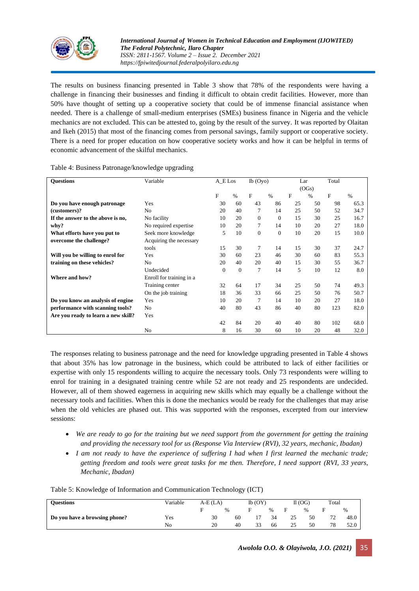

The results on business financing presented in Table 3 show that 78% of the respondents were having a challenge in financing their businesses and finding it difficult to obtain credit facilities. However, more than 50% have thought of setting up a cooperative society that could be of immense financial assistance when needed. There is a challenge of small-medium enterprises (SMEs) business finance in Nigeria and the vehicle mechanics are not excluded. This can be attested to, going by the result of the survey. It was reported by Olaitan and Ikeh (2015) that most of the financing comes from personal savings, family support or cooperative society. There is a need for proper education on how cooperative society works and how it can be helpful in terms of economic advancement of the skilful mechanics.

| <b>Ouestions</b>                    | Variable                 | A E Los  |          | $Ib$ (Oyo)     |              | Lar          |       | Total     |      |
|-------------------------------------|--------------------------|----------|----------|----------------|--------------|--------------|-------|-----------|------|
|                                     |                          |          |          |                |              |              | (OGs) |           |      |
|                                     |                          | F        | $\%$     | F              | $\%$         | $\mathbf{F}$ | $\%$  | ${\bf F}$ | $\%$ |
| Do you have enough patronage        | Yes                      | 30       | 60       | 43             | 86           | 25           | 50    | 98        | 65.3 |
| (customers)?                        | N <sub>o</sub>           | 20       | 40       | $\tau$         | 14           | 25           | 50    | 52        | 34.7 |
| If the answer to the above is no,   | No facility              | 10       | 20       | $\Omega$       | $\Omega$     | 15           | 30    | 25        | 16.7 |
| why?                                | No required expertise    | 10       | 20       | $\overline{7}$ | 14           | 10           | 20    | 27        | 18.0 |
| What efforts have you put to        | Seek more knowledge      | 5        | 10       | $\mathbf{0}$   | $\mathbf{0}$ | 10           | 20    | 15        | 10.0 |
| overcome the challenge?             | Acquiring the necessary  |          |          |                |              |              |       |           |      |
|                                     | tools                    | 15       | 30       | 7              | 14           | 15           | 30    | 37        | 24.7 |
| Will you be willing to enrol for    | Yes                      | 30       | 60       | 23             | 46           | 30           | 60    | 83        | 55.3 |
| training on these vehicles?         | N <sub>o</sub>           | 20       | 40       | 20             | 40           | 15           | 30    | 55        | 36.7 |
|                                     | Undecided                | $\Omega$ | $\Omega$ | $\overline{7}$ | 14           | 5            | 10    | 12        | 8.0  |
| Where and how?                      | Enroll for training in a |          |          |                |              |              |       |           |      |
|                                     | Training center          | 32       | 64       | 17             | 34           | 25           | 50    | 74        | 49.3 |
|                                     | On the job training      | 18       | 36       | 33             | 66           | 25           | 50    | 76        | 50.7 |
| Do you know an analysis of engine   | Yes                      | 10       | 20       | 7              | 14           | 10           | 20    | 27        | 18.0 |
| performance with scanning tools?    | N <sub>o</sub>           | 40       | 80       | 43             | 86           | 40           | 80    | 123       | 82.0 |
| Are you ready to learn a new skill? | Yes                      |          |          |                |              |              |       |           |      |
|                                     |                          | 42       | 84       | 20             | 40           | 40           | 80    | 102       | 68.0 |
|                                     | N <sub>o</sub>           | 8        | 16       | 30             | 60           | 10           | 20    | 48        | 32.0 |

#### Table 4: Business Patronage/knowledge upgrading

The responses relating to business patronage and the need for knowledge upgrading presented in Table 4 shows that about 35% has low patronage in the business, which could be attributed to lack of either facilities or expertise with only 15 respondents willing to acquire the necessary tools. Only 73 respondents were willing to enrol for training in a designated training centre while 52 are not ready and 25 respondents are undecided. However, all of them showed eagerness in acquiring new skills which may equally be a challenge without the necessary tools and facilities. When this is done the mechanics would be ready for the challenges that may arise when the old vehicles are phased out. This was supported with the responses, excerpted from our interview sessions:

- We are ready to go for the training but we need support from the government for getting the training *and providing the necessary tool for us (Response Via Interview (RVI), 32 years, mechanic, Ibadan)*
- *I am not ready to have the experience of suffering I had when I first learned the mechanic trade; getting freedom and tools were great tasks for me then. Therefore, I need support (RVI, 33 years, Mechanic, Ibadan)*

| <b>Ouestions</b>              | Variable | $A-E(LA)$ |      |    | Ib(OY) |      |    | Il (OG) | Total |      |
|-------------------------------|----------|-----------|------|----|--------|------|----|---------|-------|------|
|                               |          |           | $\%$ |    |        | $\%$ |    | $\%$    | F     | $\%$ |
| Do you have a browsing phone? | Yes      |           | 30   | 60 |        | 34   | 25 | 50      | 72    | 48.0 |
|                               | No       |           | 20   | 40 | 33     | 66   | 25 | 50      | 78    | 52.0 |

Table 5: Knowledge of Information and Communication Technology (ICT)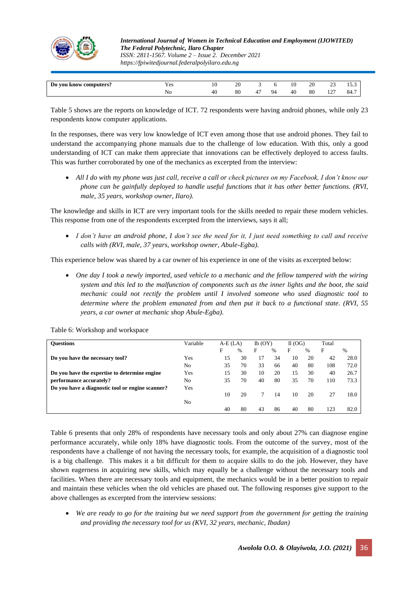

*International Journal of Women in Technical Education and Employment (IJOWITED) The Federal Polytechnic, Ilaro Chapter ISSN: 2811-1567. Volume 2 – Issue 2. December 2021 https://fpiwitedjournal.federalpolyilaro.edu.ng*

| Do you know computers? | YΑ<br>1 U.S | 1 V | oc<br>∠∪ |    | 10 | 20 | ~<br>رے                  | $ -$<br>ر.ر. |
|------------------------|-------------|-----|----------|----|----|----|--------------------------|--------------|
|                        | ΙNΟ         | 40  | 80       | 94 | 40 | 80 | $\sim$<br>$\overline{ }$ | 84.7         |
|                        |             |     |          |    |    |    |                          |              |

Table 5 shows are the reports on knowledge of ICT. 72 respondents were having android phones, while only 23 respondents know computer applications.

In the responses, there was very low knowledge of ICT even among those that use android phones. They fail to understand the accompanying phone manuals due to the challenge of low education. With this, only a good understanding of ICT can make them appreciate that innovations can be effectively deployed to access faults. This was further corroborated by one of the mechanics as excerpted from the interview:

• *All I do with my phone was just call, receive a call or check pictures on my Facebook, I don't know our phone can be gainfully deployed to handle useful functions that it has other better functions. (RVI, male, 35 years, workshop owner, Ilaro).*

The knowledge and skills in ICT are very important tools for the skills needed to repair these modern vehicles. This response from one of the respondents excerpted from the interviews, says it all;

• *I don't have an android phone, I don't see the need for it, I just need something to call and receive calls with (RVI, male, 37 years, workshop owner, Abule-Egba).*

This experience below was shared by a car owner of his experience in one of the visits as excerpted below:

• *One day I took a newly imported, used vehicle to a mechanic and the fellow tampered with the wiring system and this led to the malfunction of components such as the inner lights and the boot, the said mechanic could not rectify the problem until I involved someone who used diagnostic tool to determine where the problem emanated from and then put it back to a functional state. (RVI, 55 years, a car owner at mechanic shop Abule-Egba).*

| <b>Ouestions</b>                                 | Variable       | $A-E(LA)$ |      | $Ib$ (OY) |      | II(OG) |      | Total |      |
|--------------------------------------------------|----------------|-----------|------|-----------|------|--------|------|-------|------|
|                                                  |                | F         | $\%$ | F         | $\%$ | F      | $\%$ | F     | $\%$ |
| Do you have the necessary tool?                  | Yes            | 15        | 30   | 17        | 34   | 10     | 20   | 42    | 28.0 |
|                                                  | No             | 35        | 70   | 33        | 66   | 40     | 80   | 108   | 72.0 |
| Do you have the expertise to determine engine    | Yes            | 15        | 30   | 10        | 20   | 15     | 30   | 40    | 26.7 |
| performance accurately?                          | No             | 35        | 70   | 40        | 80   | 35     | 70   | 110   | 73.3 |
| Do you have a diagnostic tool or engine scanner? | Yes            |           |      |           |      |        |      |       |      |
|                                                  |                | 10        | 20   |           | 14   | 10     | 20   | 27    | 18.0 |
|                                                  | N <sub>o</sub> |           |      |           |      |        |      |       |      |
|                                                  |                | 40        | 80   | 43        | 86   | 40     | 80   | 123   | 82.0 |

Table 6: Workshop and workspace

Table 6 presents that only 28% of respondents have necessary tools and only about 27% can diagnose engine performance accurately, while only 18% have diagnostic tools. From the outcome of the survey, most of the respondents have a challenge of not having the necessary tools, for example, the acquisition of a diagnostic tool is a big challenge. This makes it a bit difficult for them to acquire skills to do the job. However, they have shown eagerness in acquiring new skills, which may equally be a challenge without the necessary tools and facilities. When there are necessary tools and equipment, the mechanics would be in a better position to repair and maintain these vehicles when the old vehicles are phased out. The following responses give support to the above challenges as excerpted from the interview sessions:

• *We are ready to go for the training but we need support from the government for getting the training and providing the necessary tool for us (KVI, 32 years, mechanic, Ibadan)*